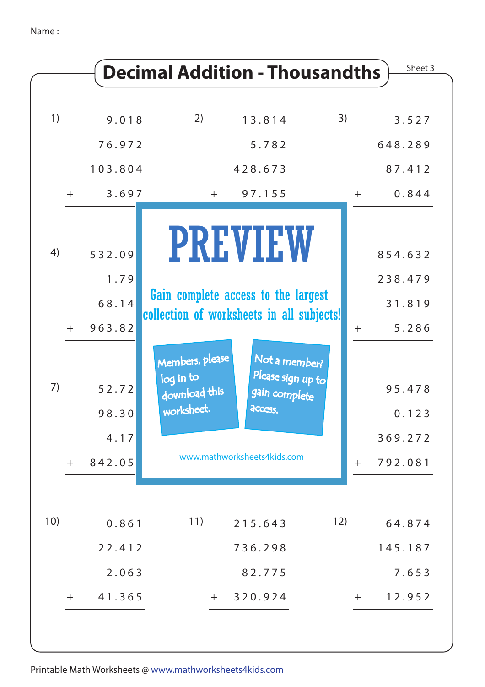|                 |                                                     | <b>Decimal Addition - Thousandths</b>                                                                                                                                                                                               |       | Sheet 3                                                  |
|-----------------|-----------------------------------------------------|-------------------------------------------------------------------------------------------------------------------------------------------------------------------------------------------------------------------------------------|-------|----------------------------------------------------------|
| 1)              | 9.018                                               | 2)<br>3)<br>13.814                                                                                                                                                                                                                  |       | 3.527                                                    |
|                 | 76.972                                              | 5.782                                                                                                                                                                                                                               |       | 648.289                                                  |
|                 | 103.804                                             | 428.673                                                                                                                                                                                                                             |       | 87.412                                                   |
| $+$             | 3.697                                               | 97.155<br>$+$                                                                                                                                                                                                                       | $+$   | 0.844                                                    |
| 4)<br>$+$<br>7) | 532.09<br>1.79<br>68.14<br>963.82<br>52.72<br>98.30 | <b>PREVIEW</b><br>Gain complete access to the largest<br>collection of worksheets in all subjects!<br>Members, please<br>Not a member?<br>Please sign up to<br>log in to<br>download this<br>gain complete<br>worksheet.<br>access. | $\pm$ | 854.632<br>238.479<br>31.819<br>5.286<br>95.478<br>0.123 |
|                 | 4.17                                                | www.mathworksheets4kids.com                                                                                                                                                                                                         |       | 369.272                                                  |
| $+$             | 842.05                                              |                                                                                                                                                                                                                                     | $\pm$ | 792.081                                                  |
| 10)             | 0.861                                               | 11)<br>12)<br>215.643                                                                                                                                                                                                               |       | 64.874                                                   |
|                 | 22.412                                              | 736.298                                                                                                                                                                                                                             |       | 145.187                                                  |
|                 | 2.063                                               | 82.775                                                                                                                                                                                                                              |       | 7.653                                                    |
| $+$             | 41.365                                              | 320.924<br>$+$                                                                                                                                                                                                                      | $+$   | 12.952                                                   |